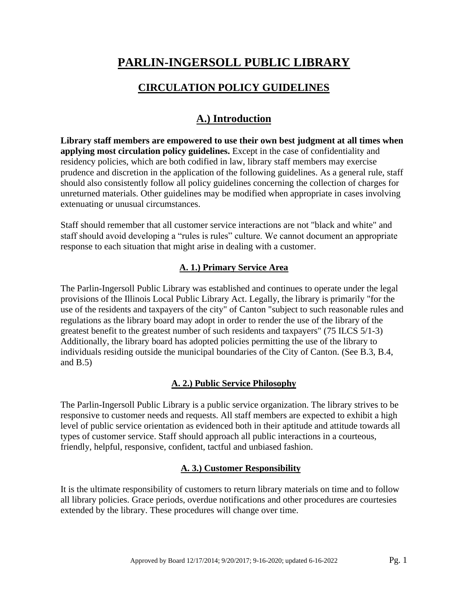# **PARLIN-INGERSOLL PUBLIC LIBRARY**

## **CIRCULATION POLICY GUIDELINES**

# **A.) Introduction**

**Library staff members are empowered to use their own best judgment at all times when applying most circulation policy guidelines.** Except in the case of confidentiality and residency policies, which are both codified in law, library staff members may exercise prudence and discretion in the application of the following guidelines. As a general rule, staff should also consistently follow all policy guidelines concerning the collection of charges for unreturned materials. Other guidelines may be modified when appropriate in cases involving extenuating or unusual circumstances.

Staff should remember that all customer service interactions are not "black and white" and staff should avoid developing a "rules is rules" culture. We cannot document an appropriate response to each situation that might arise in dealing with a customer.

## **A. 1.) Primary Service Area**

The Parlin-Ingersoll Public Library was established and continues to operate under the legal provisions of the Illinois Local Public Library Act. Legally, the library is primarily "for the use of the residents and taxpayers of the city" of Canton "subject to such reasonable rules and regulations as the library board may adopt in order to render the use of the library of the greatest benefit to the greatest number of such residents and taxpayers" (75 ILCS 5/1-3) Additionally, the library board has adopted policies permitting the use of the library to individuals residing outside the municipal boundaries of the City of Canton. (See B.3, B.4, and  $B.5$ )

## **A. 2.) Public Service Philosophy**

The Parlin-Ingersoll Public Library is a public service organization. The library strives to be responsive to customer needs and requests. All staff members are expected to exhibit a high level of public service orientation as evidenced both in their aptitude and attitude towards all types of customer service. Staff should approach all public interactions in a courteous, friendly, helpful, responsive, confident, tactful and unbiased fashion.

## **A. 3.) Customer Responsibility**

It is the ultimate responsibility of customers to return library materials on time and to follow all library policies. Grace periods, overdue notifications and other procedures are courtesies extended by the library. These procedures will change over time.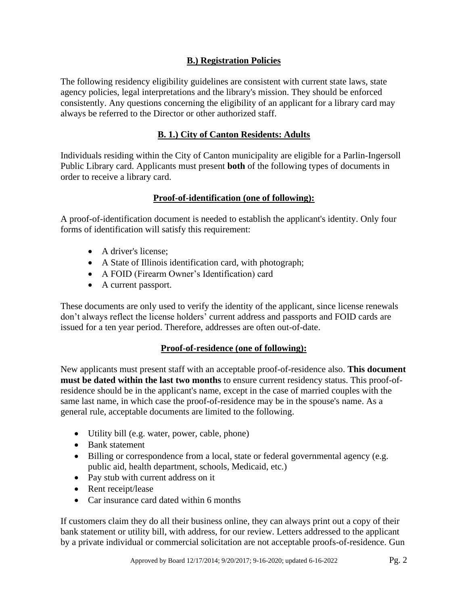## **B.) Registration Policies**

The following residency eligibility guidelines are consistent with current state laws, state agency policies, legal interpretations and the library's mission. They should be enforced consistently. Any questions concerning the eligibility of an applicant for a library card may always be referred to the Director or other authorized staff.

## **B. 1.) City of Canton Residents: Adults**

Individuals residing within the City of Canton municipality are eligible for a Parlin-Ingersoll Public Library card. Applicants must present **both** of the following types of documents in order to receive a library card.

## **Proof-of-identification (one of following):**

A proof-of-identification document is needed to establish the applicant's identity. Only four forms of identification will satisfy this requirement:

- A driver's license:
- A State of Illinois identification card, with photograph;
- A FOID (Firearm Owner's Identification) card
- A current passport.

These documents are only used to verify the identity of the applicant, since license renewals don't always reflect the license holders' current address and passports and FOID cards are issued for a ten year period. Therefore, addresses are often out-of-date.

## **Proof-of-residence (one of following):**

New applicants must present staff with an acceptable proof-of-residence also. **This document must be dated within the last two months** to ensure current residency status. This proof-ofresidence should be in the applicant's name, except in the case of married couples with the same last name, in which case the proof-of-residence may be in the spouse's name. As a general rule, acceptable documents are limited to the following.

- Utility bill (e.g. water, power, cable, phone)
- Bank statement
- Billing or correspondence from a local, state or federal governmental agency (e.g. public aid, health department, schools, Medicaid, etc.)
- Pay stub with current address on it
- Rent receipt/lease
- Car insurance card dated within 6 months

If customers claim they do all their business online, they can always print out a copy of their bank statement or utility bill, with address, for our review. Letters addressed to the applicant by a private individual or commercial solicitation are not acceptable proofs-of-residence. Gun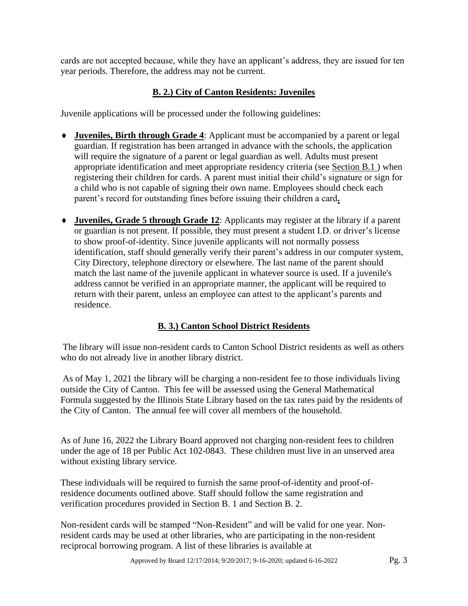cards are not accepted because, while they have an applicant's address, they are issued for ten year periods. Therefore, the address may not be current.

## **B. 2.) City of Canton Residents: Juveniles**

Juvenile applications will be processed under the following guidelines:

- **Juveniles, Birth through Grade 4**: Applicant must be accompanied by a parent or legal guardian. If registration has been arranged in advance with the schools, the application will require the signature of a parent or legal guardian as well. Adults must present appropriate identification and meet appropriate residency criteria (see Section B.1 ) when registering their children for cards. A parent must initial their child's signature or sign for a child who is not capable of signing their own name. Employees should check each parent's record for outstanding fines before issuing their children a card**.**
- **Juveniles, Grade 5 through Grade 12**: Applicants may register at the library if a parent or guardian is not present. If possible, they must present a student I.D. or driver's license to show proof-of-identity. Since juvenile applicants will not normally possess identification, staff should generally verify their parent's address in our computer system, City Directory, telephone directory or elsewhere. The last name of the parent should match the last name of the juvenile applicant in whatever source is used. If a juvenile's address cannot be verified in an appropriate manner, the applicant will be required to return with their parent, unless an employee can attest to the applicant's parents and residence.

## **B. 3.) Canton School District Residents**

The library will issue non-resident cards to Canton School District residents as well as others who do not already live in another library district.

As of May 1, 2021 the library will be charging a non-resident fee to those individuals living outside the City of Canton. This fee will be assessed using the General Mathematical Formula suggested by the Illinois State Library based on the tax rates paid by the residents of the City of Canton. The annual fee will cover all members of the household.

As of June 16, 2022 the Library Board approved not charging non-resident fees to children under the age of 18 per Public Act 102-0843. These children must live in an unserved area without existing library service.

These individuals will be required to furnish the same proof-of-identity and proof-ofresidence documents outlined above. Staff should follow the same registration and verification procedures provided in Section B. 1 and Section B. 2.

Non-resident cards will be stamped "Non-Resident" and will be valid for one year. Nonresident cards may be used at other libraries, who are participating in the non-resident reciprocal borrowing program. A list of these libraries is available at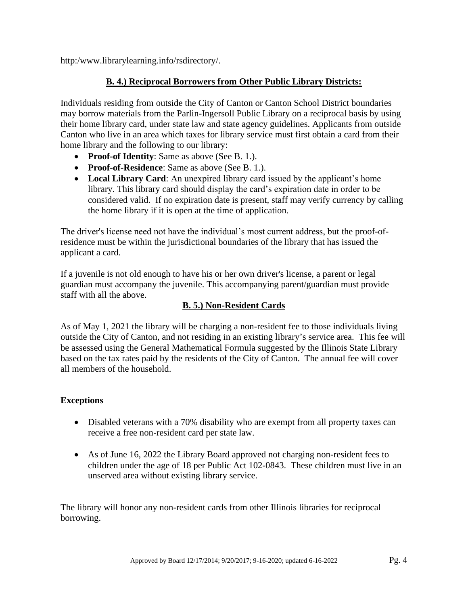http:/www.librarylearning.info/rsdirectory/.

## **B. 4.) Reciprocal Borrowers from Other Public Library Districts:**

Individuals residing from outside the City of Canton or Canton School District boundaries may borrow materials from the Parlin-Ingersoll Public Library on a reciprocal basis by using their home library card, under state law and state agency guidelines. Applicants from outside Canton who live in an area which taxes for library service must first obtain a card from their home library and the following to our library:

- **Proof-of Identity**: Same as above (See B. 1.).
- **Proof-of-Residence**: Same as above (See B. 1.).
- Local Library Card: An unexpired library card issued by the applicant's home library. This library card should display the card's expiration date in order to be considered valid. If no expiration date is present, staff may verify currency by calling the home library if it is open at the time of application.

The driver's license need not have the individual's most current address, but the proof-ofresidence must be within the jurisdictional boundaries of the library that has issued the applicant a card.

If a juvenile is not old enough to have his or her own driver's license, a parent or legal guardian must accompany the juvenile. This accompanying parent/guardian must provide staff with all the above.

## **B. 5.) Non-Resident Cards**

As of May 1, 2021 the library will be charging a non-resident fee to those individuals living outside the City of Canton, and not residing in an existing library's service area. This fee will be assessed using the General Mathematical Formula suggested by the Illinois State Library based on the tax rates paid by the residents of the City of Canton. The annual fee will cover all members of the household.

## **Exceptions**

- Disabled veterans with a 70% disability who are exempt from all property taxes can receive a free non-resident card per state law.
- As of June 16, 2022 the Library Board approved not charging non-resident fees to children under the age of 18 per Public Act 102-0843. These children must live in an unserved area without existing library service.

The library will honor any non-resident cards from other Illinois libraries for reciprocal borrowing.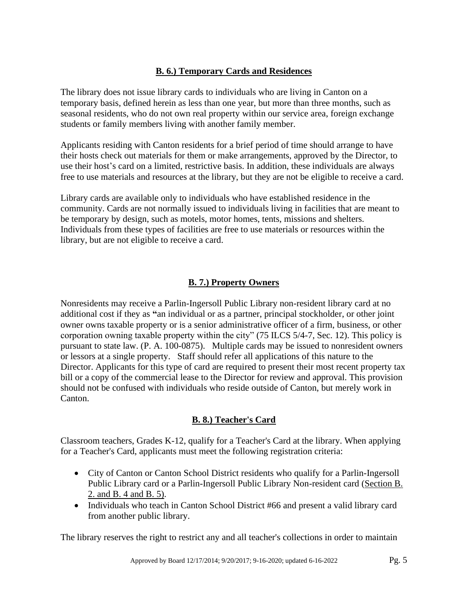## **B. 6.) Temporary Cards and Residences**

The library does not issue library cards to individuals who are living in Canton on a temporary basis, defined herein as less than one year, but more than three months, such as seasonal residents, who do not own real property within our service area, foreign exchange students or family members living with another family member.

Applicants residing with Canton residents for a brief period of time should arrange to have their hosts check out materials for them or make arrangements, approved by the Director, to use their host's card on a limited, restrictive basis. In addition, these individuals are always free to use materials and resources at the library, but they are not be eligible to receive a card.

Library cards are available only to individuals who have established residence in the community. Cards are not normally issued to individuals living in facilities that are meant to be temporary by design, such as motels, motor homes, tents, missions and shelters. Individuals from these types of facilities are free to use materials or resources within the library, but are not eligible to receive a card.

## **B. 7.) Property Owners**

Nonresidents may receive a Parlin-Ingersoll Public Library non-resident library card at no additional cost if they as **"**an individual or as a partner, principal stockholder, or other joint owner owns taxable property or is a senior administrative officer of a firm, business, or other corporation owning taxable property within the city" (75 ILCS 5/4-7, Sec. 12). This policy is pursuant to state law. (P. A. 100-0875). Multiple cards may be issued to nonresident owners or lessors at a single property. Staff should refer all applications of this nature to the Director. Applicants for this type of card are required to present their most recent property tax bill or a copy of the commercial lease to the Director for review and approval. This provision should not be confused with individuals who reside outside of Canton, but merely work in Canton.

## **B. 8.) Teacher's Card**

Classroom teachers, Grades K-12, qualify for a Teacher's Card at the library. When applying for a Teacher's Card, applicants must meet the following registration criteria:

- City of Canton or Canton School District residents who qualify for a Parlin-Ingersoll Public Library card or a Parlin-Ingersoll Public Library Non-resident card (Section B. 2. and B. 4 and B. 5).
- Individuals who teach in Canton School District #66 and present a valid library card from another public library.

The library reserves the right to restrict any and all teacher's collections in order to maintain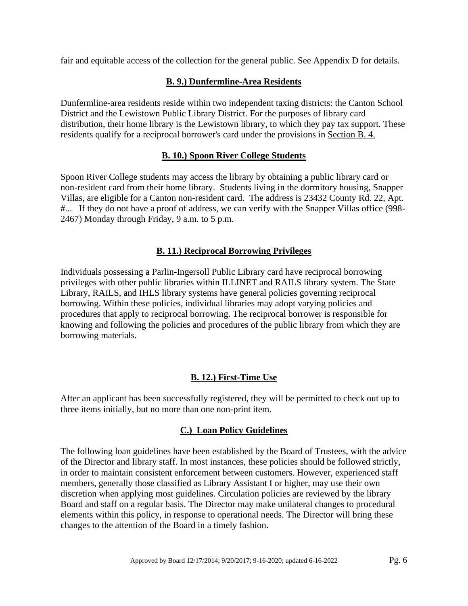fair and equitable access of the collection for the general public. See Appendix D for details.

## **B. 9.) Dunfermline-Area Residents**

Dunfermline-area residents reside within two independent taxing districts: the Canton School District and the Lewistown Public Library District. For the purposes of library card distribution, their home library is the Lewistown library, to which they pay tax support. These residents qualify for a reciprocal borrower's card under the provisions in Section B. 4.

## **B. 10.) Spoon River College Students**

Spoon River College students may access the library by obtaining a public library card or non-resident card from their home library. Students living in the dormitory housing, Snapper Villas, are eligible for a Canton non-resident card. The address is 23432 County Rd. 22, Apt. #... If they do not have a proof of address, we can verify with the Snapper Villas office (998- 2467) Monday through Friday, 9 a.m. to 5 p.m.

## **B. 11.) Reciprocal Borrowing Privileges**

Individuals possessing a Parlin-Ingersoll Public Library card have reciprocal borrowing privileges with other public libraries within ILLINET and RAILS library system. The State Library, RAILS, and IHLS library systems have general policies governing reciprocal borrowing. Within these policies, individual libraries may adopt varying policies and procedures that apply to reciprocal borrowing. The reciprocal borrower is responsible for knowing and following the policies and procedures of the public library from which they are borrowing materials.

## **B. 12.) First-Time Use**

After an applicant has been successfully registered, they will be permitted to check out up to three items initially, but no more than one non-print item.

## **C.) Loan Policy Guidelines**

The following loan guidelines have been established by the Board of Trustees, with the advice of the Director and library staff. In most instances, these policies should be followed strictly, in order to maintain consistent enforcement between customers. However, experienced staff members, generally those classified as Library Assistant I or higher, may use their own discretion when applying most guidelines. Circulation policies are reviewed by the library Board and staff on a regular basis. The Director may make unilateral changes to procedural elements within this policy, in response to operational needs. The Director will bring these changes to the attention of the Board in a timely fashion.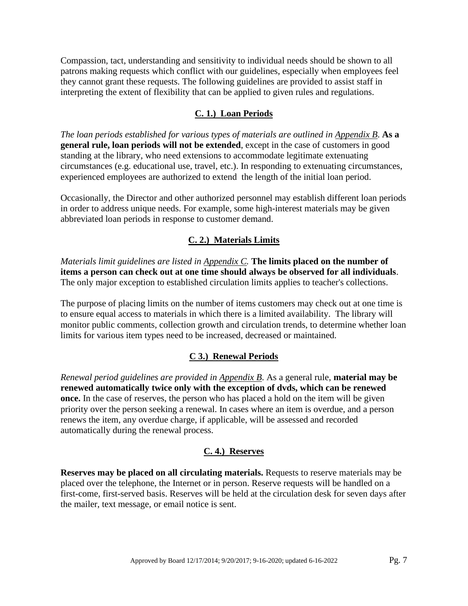Compassion, tact, understanding and sensitivity to individual needs should be shown to all patrons making requests which conflict with our guidelines, especially when employees feel they cannot grant these requests. The following guidelines are provided to assist staff in interpreting the extent of flexibility that can be applied to given rules and regulations.

## **C. 1.) Loan Periods**

*The loan periods established for various types of materials are outlined in Appendix B*. **As a general rule, loan periods will not be extended**, except in the case of customers in good standing at the library, who need extensions to accommodate legitimate extenuating circumstances (e.g. educational use, travel, etc.). In responding to extenuating circumstances, experienced employees are authorized to extend the length of the initial loan period.

Occasionally, the Director and other authorized personnel may establish different loan periods in order to address unique needs. For example, some high-interest materials may be given abbreviated loan periods in response to customer demand.

#### **C. 2.) Materials Limits**

*Materials limit guidelines are listed in Appendix C.* **The limits placed on the number of items a person can check out at one time should always be observed for all individuals**. The only major exception to established circulation limits applies to teacher's collections.

The purpose of placing limits on the number of items customers may check out at one time is to ensure equal access to materials in which there is a limited availability. The library will monitor public comments, collection growth and circulation trends, to determine whether loan limits for various item types need to be increased, decreased or maintained.

#### **C 3.) Renewal Periods**

*Renewal period guidelines are provided in Appendix B*. As a general rule, **material may be renewed automatically twice only with the exception of dvds, which can be renewed once.** In the case of reserves, the person who has placed a hold on the item will be given priority over the person seeking a renewal. In cases where an item is overdue, and a person renews the item, any overdue charge, if applicable, will be assessed and recorded automatically during the renewal process.

#### **C. 4.) Reserves**

**Reserves may be placed on all circulating materials.** Requests to reserve materials may be placed over the telephone, the Internet or in person. Reserve requests will be handled on a first-come, first-served basis. Reserves will be held at the circulation desk for seven days after the mailer, text message, or email notice is sent.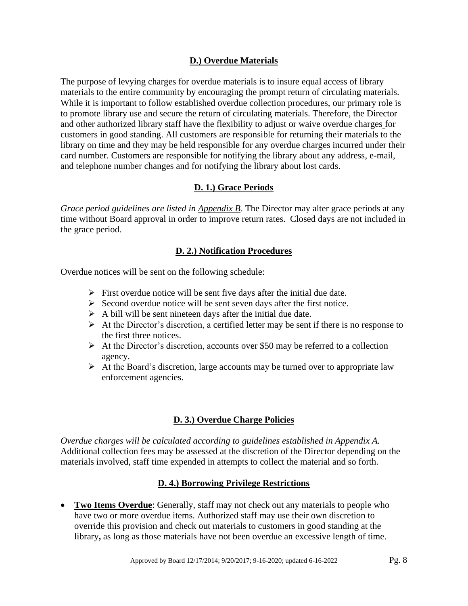## **D.) Overdue Materials**

The purpose of levying charges for overdue materials is to insure equal access of library materials to the entire community by encouraging the prompt return of circulating materials. While it is important to follow established overdue collection procedures, our primary role is to promote library use and secure the return of circulating materials. Therefore, the Director and other authorized library staff have the flexibility to adjust or waive overdue charges for customers in good standing. All customers are responsible for returning their materials to the library on time and they may be held responsible for any overdue charges incurred under their card number. Customers are responsible for notifying the library about any address, e-mail, and telephone number changes and for notifying the library about lost cards.

## **D. 1.) Grace Periods**

*Grace period guidelines are listed in Appendix B*. The Director may alter grace periods at any time without Board approval in order to improve return rates. Closed days are not included in the grace period.

## **D. 2.) Notification Procedures**

Overdue notices will be sent on the following schedule:

- $\triangleright$  First overdue notice will be sent five days after the initial due date.
- $\triangleright$  Second overdue notice will be sent seven days after the first notice.
- $\triangleright$  A bill will be sent nineteen days after the initial due date.
- ➢ At the Director's discretion, a certified letter may be sent if there is no response to the first three notices.
- $\triangleright$  At the Director's discretion, accounts over \$50 may be referred to a collection agency.
- $\triangleright$  At the Board's discretion, large accounts may be turned over to appropriate law enforcement agencies.

## **D. 3.) Overdue Charge Policies**

*Overdue charges will be calculated according to guidelines established in Appendix A.* Additional collection fees may be assessed at the discretion of the Director depending on the materials involved, staff time expended in attempts to collect the material and so forth.

## **D. 4.) Borrowing Privilege Restrictions**

• **Two Items Overdue**: Generally, staff may not check out any materials to people who have two or more overdue items. Authorized staff may use their own discretion to override this provision and check out materials to customers in good standing at the library, as long as those materials have not been overdue an excessive length of time.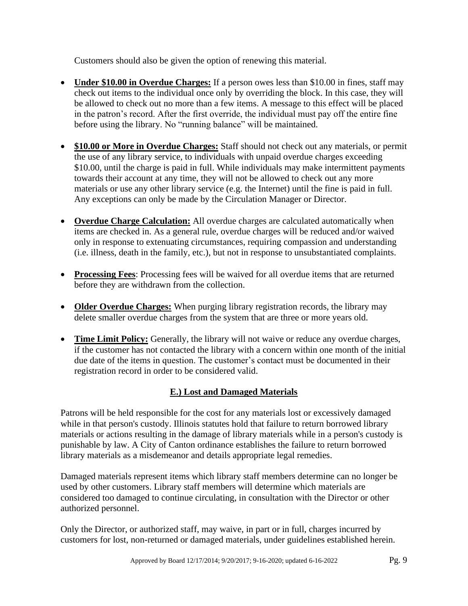Customers should also be given the option of renewing this material.

- **Under \$10.00 in Overdue Charges:** If a person owes less than \$10.00 in fines, staff may check out items to the individual once only by overriding the block. In this case, they will be allowed to check out no more than a few items. A message to this effect will be placed in the patron's record. After the first override, the individual must pay off the entire fine before using the library. No "running balance" will be maintained.
- **\$10.00 or More in Overdue Charges:** Staff should not check out any materials, or permit the use of any library service, to individuals with unpaid overdue charges exceeding \$10.00, until the charge is paid in full. While individuals may make intermittent payments towards their account at any time, they will not be allowed to check out any more materials or use any other library service (e.g. the Internet) until the fine is paid in full. Any exceptions can only be made by the Circulation Manager or Director.
- **Overdue Charge Calculation:** All overdue charges are calculated automatically when items are checked in. As a general rule, overdue charges will be reduced and/or waived only in response to extenuating circumstances, requiring compassion and understanding (i.e. illness, death in the family, etc.), but not in response to unsubstantiated complaints.
- **Processing Fees**: Processing fees will be waived for all overdue items that are returned before they are withdrawn from the collection.
- **Older Overdue Charges:** When purging library registration records, the library may delete smaller overdue charges from the system that are three or more years old.
- **Time Limit Policy:** Generally, the library will not waive or reduce any overdue charges, if the customer has not contacted the library with a concern within one month of the initial due date of the items in question. The customer's contact must be documented in their registration record in order to be considered valid.

## **E.) Lost and Damaged Materials**

Patrons will be held responsible for the cost for any materials lost or excessively damaged while in that person's custody. Illinois statutes hold that failure to return borrowed library materials or actions resulting in the damage of library materials while in a person's custody is punishable by law. A City of Canton ordinance establishes the failure to return borrowed library materials as a misdemeanor and details appropriate legal remedies.

Damaged materials represent items which library staff members determine can no longer be used by other customers. Library staff members will determine which materials are considered too damaged to continue circulating, in consultation with the Director or other authorized personnel.

Only the Director, or authorized staff, may waive, in part or in full, charges incurred by customers for lost, non-returned or damaged materials, under guidelines established herein.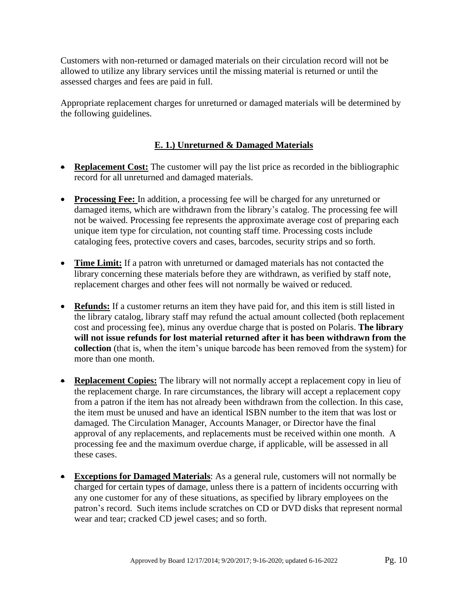Customers with non-returned or damaged materials on their circulation record will not be allowed to utilize any library services until the missing material is returned or until the assessed charges and fees are paid in full.

Appropriate replacement charges for unreturned or damaged materials will be determined by the following guidelines.

## **E. 1.) Unreturned & Damaged Materials**

- **Replacement Cost:** The customer will pay the list price as recorded in the bibliographic record for all unreturned and damaged materials.
- **Processing Fee:** In addition, a processing fee will be charged for any unreturned or damaged items, which are withdrawn from the library's catalog. The processing fee will not be waived. Processing fee represents the approximate average cost of preparing each unique item type for circulation, not counting staff time. Processing costs include cataloging fees, protective covers and cases, barcodes, security strips and so forth.
- **Time Limit:** If a patron with unreturned or damaged materials has not contacted the library concerning these materials before they are withdrawn, as verified by staff note, replacement charges and other fees will not normally be waived or reduced.
- **Refunds:** If a customer returns an item they have paid for, and this item is still listed in the library catalog, library staff may refund the actual amount collected (both replacement cost and processing fee), minus any overdue charge that is posted on Polaris. **The library will not issue refunds for lost material returned after it has been withdrawn from the collection** (that is, when the item's unique barcode has been removed from the system) for more than one month.
- **Replacement Copies:** The library will not normally accept a replacement copy in lieu of the replacement charge. In rare circumstances, the library will accept a replacement copy from a patron if the item has not already been withdrawn from the collection. In this case, the item must be unused and have an identical ISBN number to the item that was lost or damaged. The Circulation Manager, Accounts Manager, or Director have the final approval of any replacements, and replacements must be received within one month. A processing fee and the maximum overdue charge, if applicable, will be assessed in all these cases.
- **Exceptions for Damaged Materials**: As a general rule, customers will not normally be charged for certain types of damage, unless there is a pattern of incidents occurring with any one customer for any of these situations, as specified by library employees on the patron's record. Such items include scratches on CD or DVD disks that represent normal wear and tear; cracked CD jewel cases; and so forth.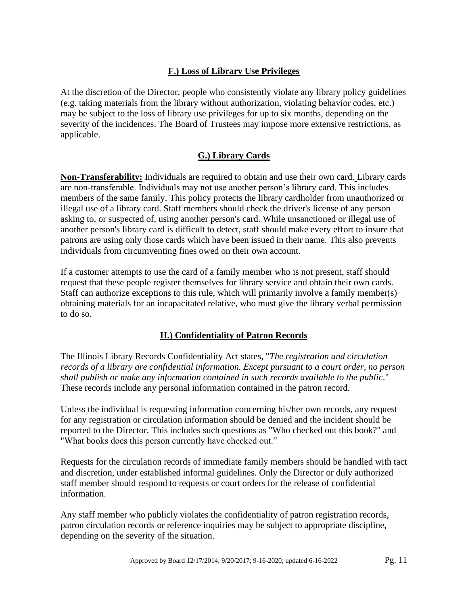## **F.) Loss of Library Use Privileges**

At the discretion of the Director, people who consistently violate any library policy guidelines (e.g. taking materials from the library without authorization, violating behavior codes, etc.) may be subject to the loss of library use privileges for up to six months, depending on the severity of the incidences. The Board of Trustees may impose more extensive restrictions, as applicable.

## **G.) Library Cards**

**Non-Transferability:** Individuals are required to obtain and use their own card*.* Library cards are non-transferable. Individuals may not use another person's library card. This includes members of the same family. This policy protects the library cardholder from unauthorized or illegal use of a library card. Staff members should check the driver's license of any person asking to, or suspected of, using another person's card. While unsanctioned or illegal use of another person's library card is difficult to detect, staff should make every effort to insure that patrons are using only those cards which have been issued in their name. This also prevents individuals from circumventing fines owed on their own account.

If a customer attempts to use the card of a family member who is not present, staff should request that these people register themselves for library service and obtain their own cards. Staff can authorize exceptions to this rule, which will primarily involve a family member(s) obtaining materials for an incapacitated relative, who must give the library verbal permission to do so.

## **H.) Confidentiality of Patron Records**

The Illinois Library Records Confidentiality Act states, "*The registration and circulation records of a library are confidential information. Except pursuant to a court order, no person shall publish or make any information contained in such records available to the public*." These records include any personal information contained in the patron record.

Unless the individual is requesting information concerning his/her own records, any request for any registration or circulation information should be denied and the incident should be reported to the Director. This includes such questions as "Who checked out this book?" and "What books does this person currently have checked out."

Requests for the circulation records of immediate family members should be handled with tact and discretion, under established informal guidelines. Only the Director or duly authorized staff member should respond to requests or court orders for the release of confidential information.

Any staff member who publicly violates the confidentiality of patron registration records, patron circulation records or reference inquiries may be subject to appropriate discipline, depending on the severity of the situation.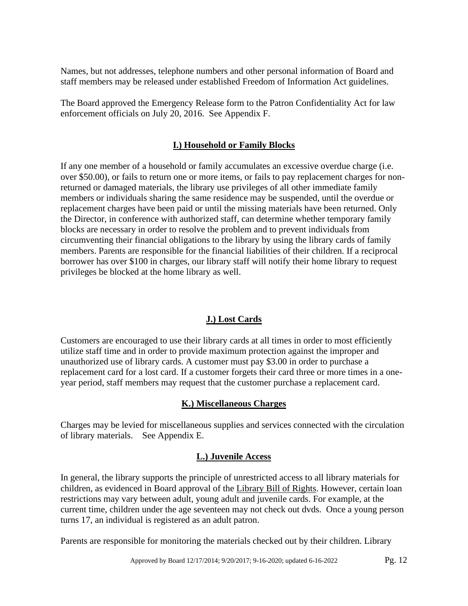Names, but not addresses, telephone numbers and other personal information of Board and staff members may be released under established Freedom of Information Act guidelines.

The Board approved the Emergency Release form to the Patron Confidentiality Act for law enforcement officials on July 20, 2016. See Appendix F.

## **I.) Household or Family Blocks**

If any one member of a household or family accumulates an excessive overdue charge (i.e. over \$50.00), or fails to return one or more items, or fails to pay replacement charges for nonreturned or damaged materials, the library use privileges of all other immediate family members or individuals sharing the same residence may be suspended, until the overdue or replacement charges have been paid or until the missing materials have been returned. Only the Director, in conference with authorized staff, can determine whether temporary family blocks are necessary in order to resolve the problem and to prevent individuals from circumventing their financial obligations to the library by using the library cards of family members. Parents are responsible for the financial liabilities of their children. If a reciprocal borrower has over \$100 in charges, our library staff will notify their home library to request privileges be blocked at the home library as well.

## **J.) Lost Cards**

Customers are encouraged to use their library cards at all times in order to most efficiently utilize staff time and in order to provide maximum protection against the improper and unauthorized use of library cards. A customer must pay \$3.00 in order to purchase a replacement card for a lost card. If a customer forgets their card three or more times in a oneyear period, staff members may request that the customer purchase a replacement card.

## **K.) Miscellaneous Charges**

Charges may be levied for miscellaneous supplies and services connected with the circulation of library materials. See Appendix E.

## **L.) Juvenile Access**

In general, the library supports the principle of unrestricted access to all library materials for children, as evidenced in Board approval of the Library Bill of Rights. However, certain loan restrictions may vary between adult, young adult and juvenile cards. For example, at the current time, children under the age seventeen may not check out dvds. Once a young person turns 17, an individual is registered as an adult patron.

Parents are responsible for monitoring the materials checked out by their children. Library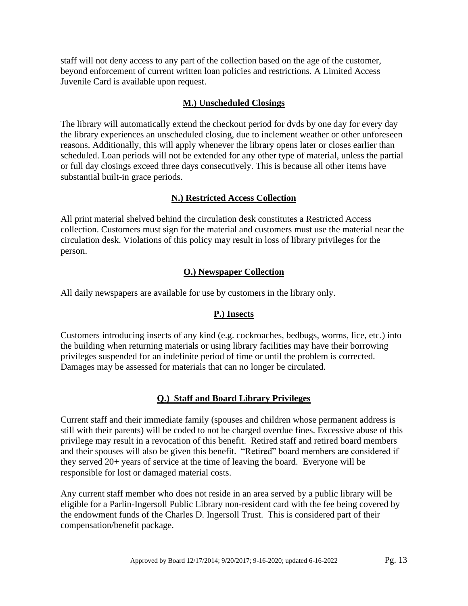staff will not deny access to any part of the collection based on the age of the customer, beyond enforcement of current written loan policies and restrictions. A Limited Access Juvenile Card is available upon request.

### **M.) Unscheduled Closings**

The library will automatically extend the checkout period for dvds by one day for every day the library experiences an unscheduled closing, due to inclement weather or other unforeseen reasons. Additionally, this will apply whenever the library opens later or closes earlier than scheduled. Loan periods will not be extended for any other type of material, unless the partial or full day closings exceed three days consecutively. This is because all other items have substantial built-in grace periods.

## **N.) Restricted Access Collection**

All print material shelved behind the circulation desk constitutes a Restricted Access collection. Customers must sign for the material and customers must use the material near the circulation desk. Violations of this policy may result in loss of library privileges for the person.

#### **O.) Newspaper Collection**

All daily newspapers are available for use by customers in the library only.

## **P.) Insects**

Customers introducing insects of any kind (e.g. cockroaches, bedbugs, worms, lice, etc.) into the building when returning materials or using library facilities may have their borrowing privileges suspended for an indefinite period of time or until the problem is corrected. Damages may be assessed for materials that can no longer be circulated.

## **Q.) Staff and Board Library Privileges**

Current staff and their immediate family (spouses and children whose permanent address is still with their parents) will be coded to not be charged overdue fines. Excessive abuse of this privilege may result in a revocation of this benefit. Retired staff and retired board members and their spouses will also be given this benefit. "Retired" board members are considered if they served 20+ years of service at the time of leaving the board. Everyone will be responsible for lost or damaged material costs.

Any current staff member who does not reside in an area served by a public library will be eligible for a Parlin-Ingersoll Public Library non-resident card with the fee being covered by the endowment funds of the Charles D. Ingersoll Trust. This is considered part of their compensation/benefit package.